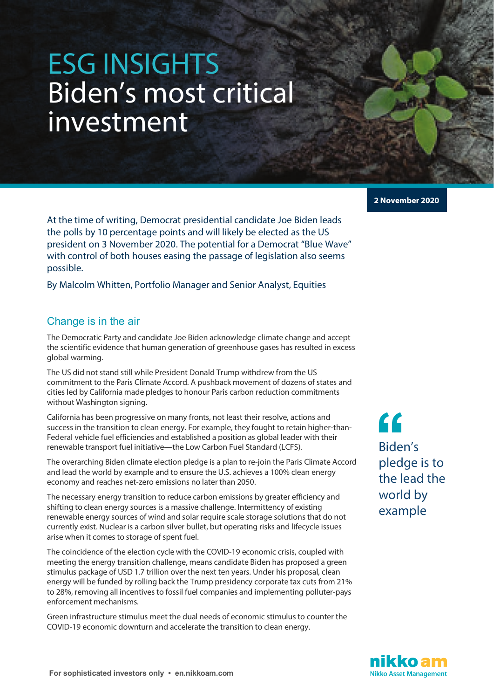# ESG INSIGHTS Biden's most critical investment

At the time of writing, Democrat presidential candidate Joe Biden leads the polls by 10 percentage points and will likely be elected as the US president on 3 November 2020. The potential for a Democrat "Blue Wave" with control of both houses easing the passage of legislation also seems possible.

By Malcolm Whitten, Portfolio Manager and Senior Analyst, Equities

## Change is in the air

The Democratic Party and candidate Joe Biden acknowledge climate change and accept the scientific evidence that human generation of greenhouse gases has resulted in excess global warming.

The US did not stand still while President Donald Trump withdrew from the US commitment to the Paris Climate Accord. A pushback movement of dozens of states and cities led by California made pledges to honour Paris carbon reduction commitments without Washington signing.

California has been progressive on many fronts, not least their resolve, actions and success in the transition to clean energy. For example, they fought to retain higher-than-Federal vehicle fuel efficiencies and established a position as global leader with their renewable transport fuel initiative—the Low Carbon Fuel Standard (LCFS).

The overarching Biden climate election pledge is a plan to re-join the Paris Climate Accord and lead the world by example and to ensure the U.S. achieves a 100% clean energy economy and reaches net-zero emissions no later than 2050.

The necessary energy transition to reduce carbon emissions by greater efficiency and shifting to clean energy sources is a massive challenge. Intermittency of existing renewable energy sources of wind and solar require scale storage solutions that do not currently exist. Nuclear is a carbon silver bullet, but operating risks and lifecycle issues arise when it comes to storage of spent fuel.

The coincidence of the election cycle with the COVID-19 economic crisis, coupled with meeting the energy transition challenge, means candidate Biden has proposed a green stimulus package of USD 1.7 trillion over the next ten years. Under his proposal, clean energy will be funded by rolling back the Trump presidency corporate tax cuts from 21% to 28%, removing all incentives to fossil fuel companies and implementing polluter-pays enforcement mechanisms.

Green infrastructure stimulus meet the dual needs of economic stimulus to counter the COVID-19 economic downturn and accelerate the transition to clean energy.

**2 November 2020**

Biden's pledge is to the lead the world by example **''**

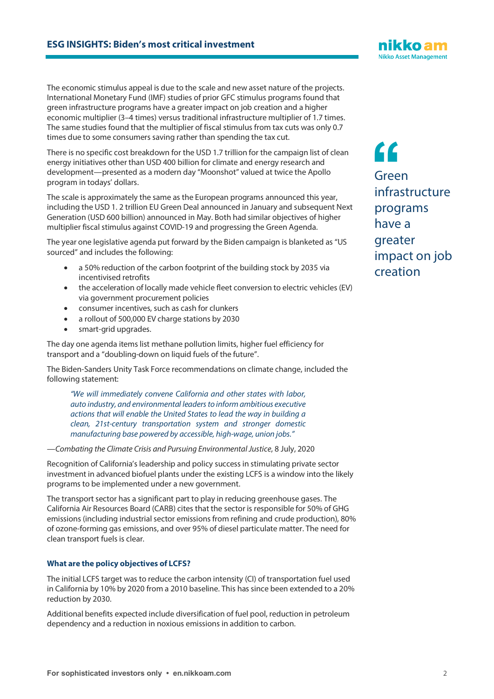The economic stimulus appeal is due to the scale and new asset nature of the projects. International Monetary Fund (IMF) studies of prior GFC stimulus programs found that green infrastructure programs have a greater impact on job creation and a higher economic multiplier (3–4 times) versus traditional infrastructure multiplier of 1.7 times. The same studies found that the multiplier of fiscal stimulus from tax cuts was only 0.7 times due to some consumers saving rather than spending the tax cut.

There is no specific cost breakdown for the USD 1.7 trillion for the campaign list of clean energy initiatives other than USD 400 billion for climate and energy research and development—presented as a modern day "Moonshot" valued at twice the Apollo program in todays' dollars.

The scale is approximately the same as the European programs announced this year, including the USD 1. 2 trillion EU Green Deal announced in January and subsequent Next Generation (USD 600 billion) announced in May. Both had similar objectives of higher multiplier fiscal stimulus against COVID-19 and progressing the Green Agenda.

The year one legislative agenda put forward by the Biden campaign is blanketed as "US sourced" and includes the following:

- a 50% reduction of the carbon footprint of the building stock by 2035 via incentivised retrofits
- the acceleration of locally made vehicle fleet conversion to electric vehicles (EV) via government procurement policies
- consumer incentives, such as cash for clunkers
- a rollout of 500,000 EV charge stations by 2030
- smart-grid upgrades.

The day one agenda items list methane pollution limits, higher fuel efficiency for transport and a "doubling-down on liquid fuels of the future".

The Biden-Sanders Unity Task Force recommendations on climate change, included the following statement:

*"We will immediately convene California and other states with labor, auto industry, and environmental leaders to inform ambitious executive actions that will enable the United States to lead the way in building a clean, 21st-century transportation system and stronger domestic manufacturing base powered by accessible, high-wage, union jobs."*

—*Combating the Climate Crisis and Pursuing Environmental Justice*, 8 July, 2020

Recognition of California's leadership and policy success in stimulating private sector investment in advanced biofuel plants under the existing LCFS is a window into the likely programs to be implemented under a new government.

The transport sector has a significant part to play in reducing greenhouse gases. The California Air Resources Board (CARB) cites that the sector is responsible for 50% of GHG emissions (including industrial sector emissions from refining and crude production), 80% of ozone-forming gas emissions, and over 95% of diesel particulate matter. The need for clean transport fuels is clear.

### **What are the policy objectives of LCFS?**

The initial LCFS target was to reduce the carbon intensity (CI) of transportation fuel used in California by 10% by 2020 from a 2010 baseline. This has since been extended to a 20% reduction by 2030.

Additional benefits expected include diversification of fuel pool, reduction in petroleum dependency and a reduction in noxious emissions in addition to carbon.

Green infrastructure programs have a greater impact on job creation **''**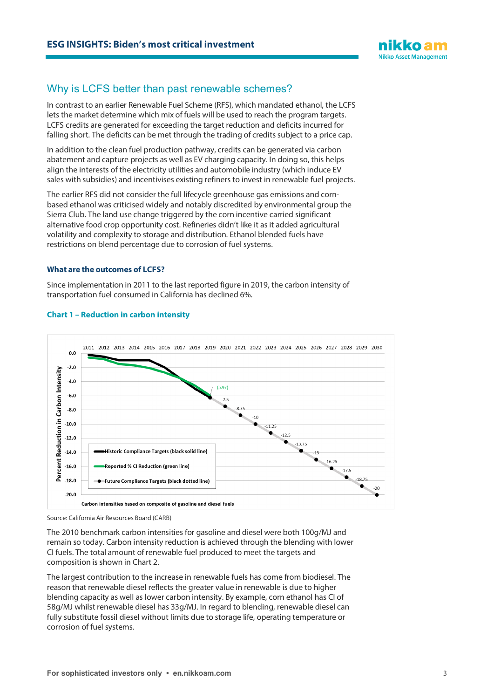

## Why is LCFS better than past renewable schemes?

In contrast to an earlier Renewable Fuel Scheme (RFS), which mandated ethanol, the LCFS lets the market determine which mix of fuels will be used to reach the program targets. LCFS credits are generated for exceeding the target reduction and deficits incurred for falling short. The deficits can be met through the trading of credits subject to a price cap.

In addition to the clean fuel production pathway, credits can be generated via carbon abatement and capture projects as well as EV charging capacity. In doing so, this helps align the interests of the electricity utilities and automobile industry (which induce EV sales with subsidies) and incentivises existing refiners to invest in renewable fuel projects.

The earlier RFS did not consider the full lifecycle greenhouse gas emissions and cornbased ethanol was criticised widely and notably discredited by environmental group the Sierra Club. The land use change triggered by the corn incentive carried significant alternative food crop opportunity cost. Refineries didn't like it as it added agricultural volatility and complexity to storage and distribution. Ethanol blended fuels have restrictions on blend percentage due to corrosion of fuel systems.

#### **What are the outcomes of LCFS?**

Since implementation in 2011 to the last reported figure in 2019, the carbon intensity of transportation fuel consumed in California has declined 6%.



#### **Chart 1 – Reduction in carbon intensity**

Source: California Air Resources Board (CARB)

The 2010 benchmark carbon intensities for gasoline and diesel were both 100g/MJ and remain so today. Carbon intensity reduction is achieved through the blending with lower CI fuels. The total amount of renewable fuel produced to meet the targets and composition is shown in Chart 2.

The largest contribution to the increase in renewable fuels has come from biodiesel. The reason that renewable diesel reflects the greater value in renewable is due to higher blending capacity as well as lower carbon intensity. By example, corn ethanol has CI of 58g/MJ whilst renewable diesel has 33g/MJ. In regard to blending, renewable diesel can fully substitute fossil diesel without limits due to storage life, operating temperature or corrosion of fuel systems.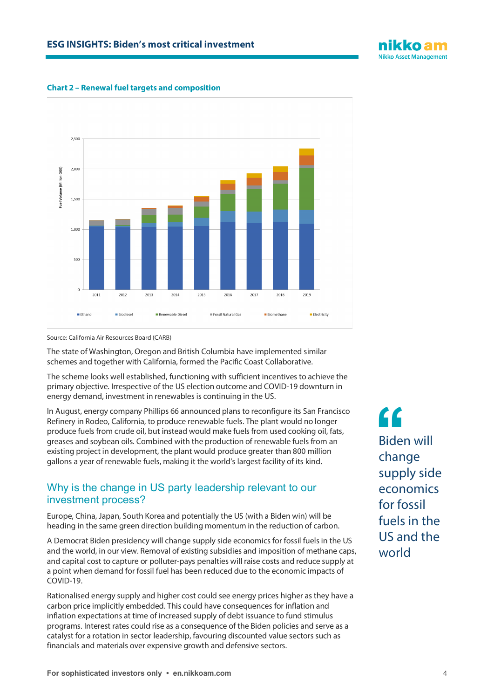

#### **Chart 2 – Renewal fuel targets and composition**



Source: California Air Resources Board (CARB)

The state of Washington, Oregon and British Columbia have implemented similar schemes and together with California, formed the Pacific Coast Collaborative.

The scheme looks well established, functioning with sufficient incentives to achieve the primary objective. Irrespective of the US election outcome and COVID-19 downturn in energy demand, investment in renewables is continuing in the US.

In August, energy company Phillips 66 announced plans to reconfigure its San Francisco Refinery in Rodeo, California, to produce renewable fuels. The plant would no longer produce fuels from crude oil, but instead would make fuels from used cooking oil, fats, greases and soybean oils. Combined with the production of renewable fuels from an existing project in development, the plant would produce greater than 800 million gallons a year of renewable fuels, making it the world's largest facility of its kind.

## Why is the change in US party leadership relevant to our investment process?

Europe, China, Japan, South Korea and potentially the US (with a Biden win) will be heading in the same green direction building momentum in the reduction of carbon.

A Democrat Biden presidency will change supply side economics for fossil fuels in the US and the world, in our view. Removal of existing subsidies and imposition of methane caps, and capital cost to capture or polluter-pays penalties will raise costs and reduce supply at a point when demand for fossil fuel has been reduced due to the economic impacts of COVID-19.

Rationalised energy supply and higher cost could see energy prices higher as they have a carbon price implicitly embedded. This could have consequences for inflation and inflation expectations at time of increased supply of debt issuance to fund stimulus programs. Interest rates could rise as a consequence of the Biden policies and serve as a catalyst for a rotation in sector leadership, favouring discounted value sectors such as financials and materials over expensive growth and defensive sectors.

Biden will change supply side economics for fossil fuels in the US and the world **''**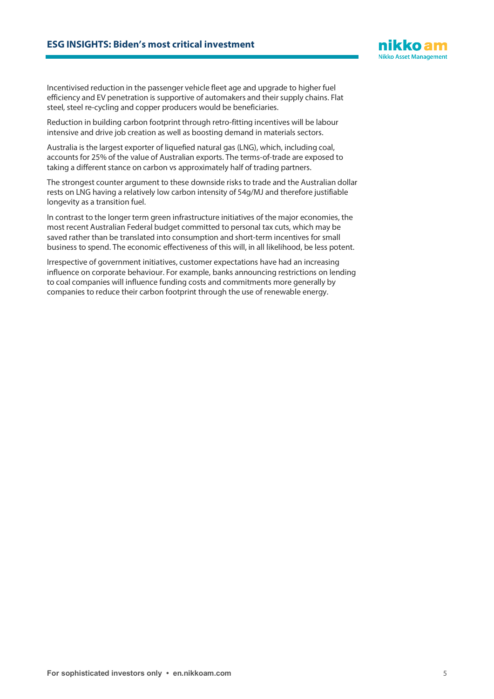

Incentivised reduction in the passenger vehicle fleet age and upgrade to higher fuel efficiency and EV penetration is supportive of automakers and their supply chains. Flat steel, steel re-cycling and copper producers would be beneficiaries.

Reduction in building carbon footprint through retro-fitting incentives will be labour intensive and drive job creation as well as boosting demand in materials sectors.

Australia is the largest exporter of liquefied natural gas (LNG), which, including coal, accounts for 25% of the value of Australian exports. The terms-of-trade are exposed to taking a different stance on carbon vs approximately half of trading partners.

The strongest counter argument to these downside risks to trade and the Australian dollar rests on LNG having a relatively low carbon intensity of 54g/MJ and therefore justifiable longevity as a transition fuel.

In contrast to the longer term green infrastructure initiatives of the major economies, the most recent Australian Federal budget committed to personal tax cuts, which may be saved rather than be translated into consumption and short-term incentives for small business to spend. The economic effectiveness of this will, in all likelihood, be less potent.

Irrespective of government initiatives, customer expectations have had an increasing influence on corporate behaviour. For example, banks announcing restrictions on lending to coal companies will influence funding costs and commitments more generally by companies to reduce their carbon footprint through the use of renewable energy.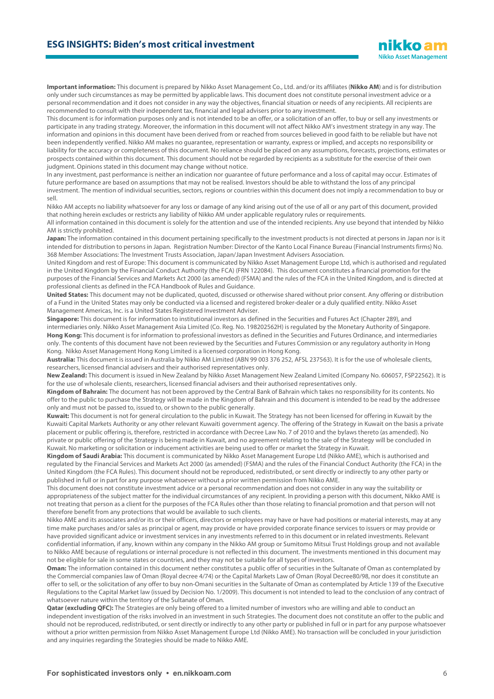**Important information:** This document is prepared by Nikko Asset Management Co., Ltd. and/or its affiliates (**Nikko AM**) and is for distribution only under such circumstances as may be permitted by applicable laws. This document does not constitute personal investment advice or a personal recommendation and it does not consider in any way the objectives, financial situation or needs of any recipients. All recipients are recommended to consult with their independent tax, financial and legal advisers prior to any investment.

This document is for information purposes only and is not intended to be an offer, or a solicitation of an offer, to buy or sell any investments or participate in any trading strategy. Moreover, the information in this document will not affect Nikko AM's investment strategy in any way. The information and opinions in this document have been derived from or reached from sources believed in good faith to be reliable but have not been independently verified. Nikko AM makes no guarantee, representation or warranty, express or implied, and accepts no responsibility or liability for the accuracy or completeness of this document. No reliance should be placed on any assumptions, forecasts, projections, estimates or prospects contained within this document. This document should not be regarded by recipients as a substitute for the exercise of their own judgment. Opinions stated in this document may change without notice.

In any investment, past performance is neither an indication nor guarantee of future performance and a loss of capital may occur. Estimates of future performance are based on assumptions that may not be realised. Investors should be able to withstand the loss of any principal investment. The mention of individual securities, sectors, regions or countries within this document does not imply a recommendation to buy or sell.

Nikko AM accepts no liability whatsoever for any loss or damage of any kind arising out of the use of all or any part of this document, provided that nothing herein excludes or restricts any liability of Nikko AM under applicable regulatory rules or requirements.

All information contained in this document is solely for the attention and use of the intended recipients. Any use beyond that intended by Nikko AM is strictly prohibited.

Japan: The information contained in this document pertaining specifically to the investment products is not directed at persons in Japan nor is it intended for distribution to persons in Japan. Registration Number: Director of the Kanto Local Finance Bureau (Financial Instruments firms) No. 368 Member Associations: The Investment Trusts Association, Japan/Japan Investment Advisers Association.

United Kingdom and rest of Europe: This document is communicated by Nikko Asset Management Europe Ltd, which is authorised and regulated in the United Kingdom by the Financial Conduct Authority (the FCA) (FRN 122084). This document constitutes a financial promotion for the purposes of the Financial Services and Markets Act 2000 (as amended) (FSMA) and the rules of the FCA in the United Kingdom, and is directed at professional clients as defined in the FCA Handbook of Rules and Guidance.

**United States:** This document may not be duplicated, quoted, discussed or otherwise shared without prior consent. Any offering or distribution of a Fund in the United States may only be conducted via a licensed and registered broker-dealer or a duly qualified entity. Nikko Asset Management Americas, Inc. is a United States Registered Investment Adviser.

**Singapore:** This document is for information to institutional investors as defined in the Securities and Futures Act (Chapter 289), and intermediaries only. Nikko Asset Management Asia Limited (Co. Reg. No. 198202562H) is regulated by the Monetary Authority of Singapore. **Hong Kong:** This document is for information to professional investors as defined in the Securities and Futures Ordinance, and intermediaries only. The contents of this document have not been reviewed by the Securities and Futures Commission or any regulatory authority in Hong Kong. Nikko Asset Management Hong Kong Limited is a licensed corporation in Hong Kong.

**Australia:** This document is issued in Australia by Nikko AM Limited (ABN 99 003 376 252, AFSL 237563). It is for the use of wholesale clients, researchers, licensed financial advisers and their authorised representatives only.

**New Zealand:** This document is issued in New Zealand by Nikko Asset Management New Zealand Limited (Company No. 606057, FSP22562). It is for the use of wholesale clients, researchers, licensed financial advisers and their authorised representatives only.

**Kingdom of Bahrain:** The document has not been approved by the Central Bank of Bahrain which takes no responsibility for its contents. No offer to the public to purchase the Strategy will be made in the Kingdom of Bahrain and this document is intended to be read by the addressee only and must not be passed to, issued to, or shown to the public generally.

**Kuwait:** This document is not for general circulation to the public in Kuwait. The Strategy has not been licensed for offering in Kuwait by the Kuwaiti Capital Markets Authority or any other relevant Kuwaiti government agency. The offering of the Strategy in Kuwait on the basis a private placement or public offering is, therefore, restricted in accordance with Decree Law No. 7 of 2010 and the bylaws thereto (as amended). No private or public offering of the Strategy is being made in Kuwait, and no agreement relating to the sale of the Strategy will be concluded in Kuwait. No marketing or solicitation or inducement activities are being used to offer or market the Strategy in Kuwait.

**Kingdom of Saudi Arabia:** This document is communicated by Nikko Asset Management Europe Ltd (Nikko AME), which is authorised and regulated by the Financial Services and Markets Act 2000 (as amended) (FSMA) and the rules of the Financial Conduct Authority (the FCA) in the United Kingdom (the FCA Rules). This document should not be reproduced, redistributed, or sent directly or indirectly to any other party or published in full or in part for any purpose whatsoever without a prior written permission from Nikko AME.

This document does not constitute investment advice or a personal recommendation and does not consider in any way the suitability or appropriateness of the subject matter for the individual circumstances of any recipient. In providing a person with this document, Nikko AME is not treating that person as a client for the purposes of the FCA Rules other than those relating to financial promotion and that person will not therefore benefit from any protections that would be available to such clients.

Nikko AME and its associates and/or its or their officers, directors or employees may have or have had positions or material interests, may at any time make purchases and/or sales as principal or agent, may provide or have provided corporate finance services to issuers or may provide or have provided significant advice or investment services in any investments referred to in this document or in related investments. Relevant confidential information, if any, known within any company in the Nikko AM group or Sumitomo Mitsui Trust Holdings group and not available to Nikko AME because of regulations or internal procedure is not reflected in this document. The investments mentioned in this document may not be eligible for sale in some states or countries, and they may not be suitable for all types of investors.

**Oman:** The information contained in this document nether constitutes a public offer of securities in the Sultanate of Oman as contemplated by the Commercial companies law of Oman (Royal decree 4/74) or the Capital Markets Law of Oman (Royal Decree80/98, nor does it constitute an offer to sell, or the solicitation of any offer to buy non-Omani securities in the Sultanate of Oman as contemplated by Article 139 of the Executive Regulations to the Capital Market law (issued by Decision No. 1/2009). This document is not intended to lead to the conclusion of any contract of whatsoever nature within the territory of the Sultanate of Oman.

**Qatar (excluding QFC):** The Strategies are only being offered to a limited number of investors who are willing and able to conduct an independent investigation of the risks involved in an investment in such Strategies. The document does not constitute an offer to the public and should not be reproduced, redistributed, or sent directly or indirectly to any other party or published in full or in part for any purpose whatsoever without a prior written permission from Nikko Asset Management Europe Ltd (Nikko AME). No transaction will be concluded in your jurisdiction and any inquiries regarding the Strategies should be made to Nikko AME.